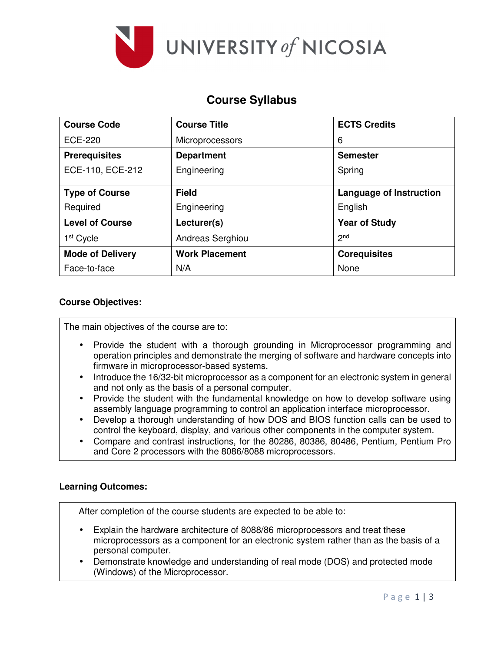

# **Course Syllabus**

| <b>Course Code</b>      | <b>Course Title</b>    | <b>ECTS Credits</b>            |  |  |
|-------------------------|------------------------|--------------------------------|--|--|
| ECE-220                 | <b>Microprocessors</b> | 6                              |  |  |
| <b>Prerequisites</b>    | <b>Department</b>      | <b>Semester</b>                |  |  |
| ECE-110, ECE-212        | Engineering            | Spring                         |  |  |
| <b>Type of Course</b>   | <b>Field</b>           | <b>Language of Instruction</b> |  |  |
| Required                | Engineering            | English                        |  |  |
| <b>Level of Course</b>  | Lecturer(s)            | <b>Year of Study</b>           |  |  |
| 1 <sup>st</sup> Cycle   | Andreas Serghiou       | 2 <sub>nd</sub>                |  |  |
| <b>Mode of Delivery</b> | <b>Work Placement</b>  | <b>Corequisites</b>            |  |  |
| Face-to-face            | N/A                    | None                           |  |  |

### **Course Objectives:**

The main objectives of the course are to:

- Provide the student with a thorough grounding in Microprocessor programming and operation principles and demonstrate the merging of software and hardware concepts into firmware in microprocessor-based systems.
- Introduce the 16/32-bit microprocessor as a component for an electronic system in general and not only as the basis of a personal computer.
- Provide the student with the fundamental knowledge on how to develop software using assembly language programming to control an application interface microprocessor.
- Develop a thorough understanding of how DOS and BIOS function calls can be used to control the keyboard, display, and various other components in the computer system.
- Compare and contrast instructions, for the 80286, 80386, 80486, Pentium, Pentium Pro and Core 2 processors with the 8086/8088 microprocessors.

## **Learning Outcomes:**

After completion of the course students are expected to be able to:

- Explain the hardware architecture of 8088/86 microprocessors and treat these microprocessors as a component for an electronic system rather than as the basis of a personal computer.
- Demonstrate knowledge and understanding of real mode (DOS) and protected mode (Windows) of the Microprocessor.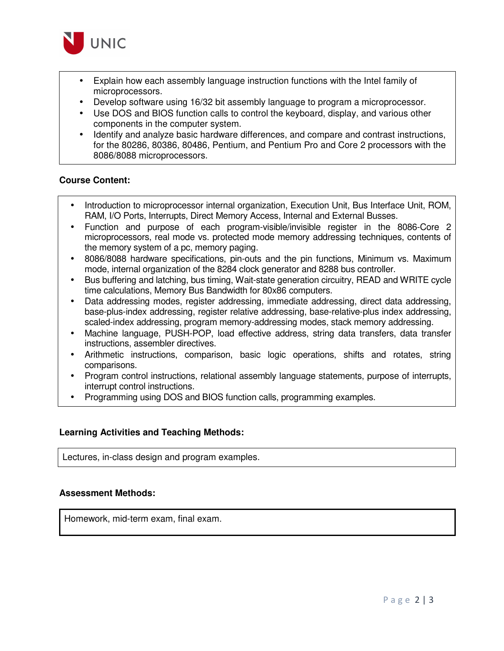

- Explain how each assembly language instruction functions with the Intel family of microprocessors.
- Develop software using 16/32 bit assembly language to program a microprocessor.
- Use DOS and BIOS function calls to control the keyboard, display, and various other components in the computer system.
- Identify and analyze basic hardware differences, and compare and contrast instructions, for the 80286, 80386, 80486, Pentium, and Pentium Pro and Core 2 processors with the 8086/8088 microprocessors.

#### **Course Content:**

- Introduction to microprocessor internal organization, Execution Unit, Bus Interface Unit, ROM, RAM, I/O Ports, Interrupts, Direct Memory Access, Internal and External Busses.
- Function and purpose of each program-visible/invisible register in the 8086-Core 2 microprocessors, real mode vs. protected mode memory addressing techniques, contents of the memory system of a pc, memory paging.
- 8086/8088 hardware specifications, pin-outs and the pin functions, Minimum vs. Maximum mode, internal organization of the 8284 clock generator and 8288 bus controller.
- Bus buffering and latching, bus timing, Wait-state generation circuitry, READ and WRITE cycle time calculations, Memory Bus Bandwidth for 80x86 computers.
- Data addressing modes, register addressing, immediate addressing, direct data addressing, base-plus-index addressing, register relative addressing, base-relative-plus index addressing, scaled-index addressing, program memory-addressing modes, stack memory addressing.
- Machine language, PUSH-POP, load effective address, string data transfers, data transfer instructions, assembler directives.
- Arithmetic instructions, comparison, basic logic operations, shifts and rotates, string comparisons.
- Program control instructions, relational assembly language statements, purpose of interrupts, interrupt control instructions.
- Programming using DOS and BIOS function calls, programming examples.

#### **Learning Activities and Teaching Methods:**

Lectures, in-class design and program examples.

#### **Assessment Methods:**

Homework, mid-term exam, final exam.